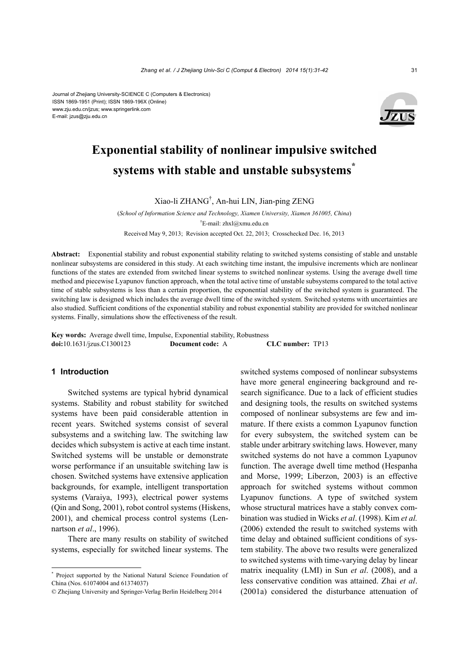#### Journal of Zhejiang University-SCIENCE C (Computers & Electronics) ISSN 1869-1951 (Print); ISSN 1869-196X (Online) www.zju.edu.cn/jzus; www.springerlink.com E-mail: jzus@zju.edu.cn



# **Exponential stability of nonlinear impulsive switched systems with stable and unstable subsystems\***

Xiao-li ZHANG† , An-hui LIN, Jian-ping ZENG

(*School of Information Science and Technology, Xiamen University, Xiamen 361005, China*) † E-mail: zhxl@xmu.edu.cn

Received May 9, 2013; Revision accepted Oct. 22, 2013; Crosschecked Dec. 16, 2013

**Abstract:** Exponential stability and robust exponential stability relating to switched systems consisting of stable and unstable nonlinear subsystems are considered in this study. At each switching time instant, the impulsive increments which are nonlinear functions of the states are extended from switched linear systems to switched nonlinear systems. Using the average dwell time method and piecewise Lyapunov function approach, when the total active time of unstable subsystems compared to the total active time of stable subsystems is less than a certain proportion, the exponential stability of the switched system is guaranteed. The switching law is designed which includes the average dwell time of the switched system. Switched systems with uncertainties are also studied. Sufficient conditions of the exponential stability and robust exponential stability are provided for switched nonlinear systems. Finally, simulations show the effectiveness of the result.

**Key words:** Average dwell time, Impulse, Exponential stability, Robustness **doi:**10.1631/jzus.C1300123 **Document code:** A **CLC number:** TP13

### **1 Introduction**

Switched systems are typical hybrid dynamical systems. Stability and robust stability for switched systems have been paid considerable attention in recent years. Switched systems consist of several subsystems and a switching law. The switching law decides which subsystem is active at each time instant. Switched systems will be unstable or demonstrate worse performance if an unsuitable switching law is chosen. Switched systems have extensive application backgrounds, for example, intelligent transportation systems (Varaiya, 1993), electrical power systems (Qin and Song, 2001), robot control systems (Hiskens, 2001), and chemical process control systems (Lennartson *et al*., 1996).

There are many results on stability of switched systems, especially for switched linear systems. The switched systems composed of nonlinear subsystems have more general engineering background and research significance. Due to a lack of efficient studies and designing tools, the results on switched systems composed of nonlinear subsystems are few and immature. If there exists a common Lyapunov function for every subsystem, the switched system can be stable under arbitrary switching laws. However, many switched systems do not have a common Lyapunov function. The average dwell time method (Hespanha and Morse, 1999; Liberzon, 2003) is an effective approach for switched systems without common Lyapunov functions. A type of switched system whose structural matrices have a stably convex combination was studied in Wicks *et al*. (1998). Kim *et al.* (2006) extended the result to switched systems with time delay and obtained sufficient conditions of system stability. The above two results were generalized to switched systems with time-varying delay by linear matrix inequality (LMI) in Sun *et al*. (2008), and a less conservative condition was attained. Zhai *et al*. (2001a) considered the disturbance attenuation of

<sup>\*</sup> Project supported by the National Natural Science Foundation of China (Nos. 61074004 and 61374037)

<sup>©</sup> Zhejiang University and Springer-Verlag Berlin Heidelberg 2014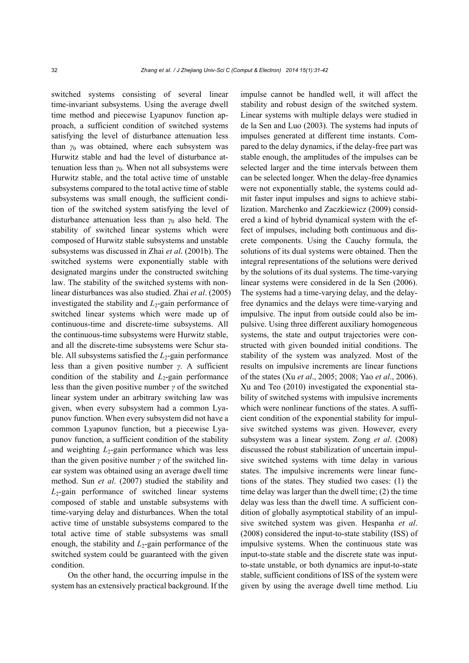switched systems consisting of several linear time-invariant subsystems. Using the average dwell time method and piecewise Lyapunov function approach, a sufficient condition of switched systems satisfying the level of disturbance attenuation less than *γ*0 was obtained, where each subsystem was Hurwitz stable and had the level of disturbance attenuation less than  $\gamma_0$ . When not all subsystems were Hurwitz stable, and the total active time of unstable subsystems compared to the total active time of stable subsystems was small enough, the sufficient condition of the switched system satisfying the level of disturbance attenuation less than *γ*0 also held. The stability of switched linear systems which were composed of Hurwitz stable subsystems and unstable subsystems was discussed in Zhai *et al*. (2001b). The switched systems were exponentially stable with designated margins under the constructed switching law. The stability of the switched systems with nonlinear disturbances was also studied. Zhai *et al*. (2005) investigated the stability and *L*2-gain performance of switched linear systems which were made up of continuous-time and discrete-time subsystems. All the continuous-time subsystems were Hurwitz stable, and all the discrete-time subsystems were Schur stable. All subsystems satisfied the  $L_2$ -gain performance less than a given positive number *γ*. A sufficient condition of the stability and  $L_2$ -gain performance less than the given positive number *γ* of the switched linear system under an arbitrary switching law was given, when every subsystem had a common Lyapunov function. When every subsystem did not have a common Lyapunov function, but a piecewise Lyapunov function, a sufficient condition of the stability and weighting *L*<sub>2</sub>-gain performance which was less than the given positive number *γ* of the switched linear system was obtained using an average dwell time method. Sun *et al*. (2007) studied the stability and *L*2-gain performance of switched linear systems composed of stable and unstable subsystems with time-varying delay and disturbances. When the total active time of unstable subsystems compared to the total active time of stable subsystems was small enough, the stability and *L*<sub>2</sub>-gain performance of the switched system could be guaranteed with the given condition.

On the other hand, the occurring impulse in the system has an extensively practical background. If the impulse cannot be handled well, it will affect the stability and robust design of the switched system. Linear systems with multiple delays were studied in de la Sen and Luo (2003). The systems had inputs of impulses generated at different time instants. Compared to the delay dynamics, if the delay-free part was stable enough, the amplitudes of the impulses can be selected larger and the time intervals between them can be selected longer. When the delay-free dynamics were not exponentially stable, the systems could admit faster input impulses and signs to achieve stabilization. Marchenko and Zaczkiewicz (2009) considered a kind of hybrid dynamical system with the effect of impulses, including both continuous and discrete components. Using the Cauchy formula, the solutions of its dual systems were obtained. Then the integral representations of the solutions were derived by the solutions of its dual systems. The time-varying linear systems were considered in de la Sen (2006). The systems had a time-varying delay, and the delayfree dynamics and the delays were time-varying and impulsive. The input from outside could also be impulsive. Using three different auxiliary homogeneous systems, the state and output trajectories were constructed with given bounded initial conditions. The stability of the system was analyzed. Most of the results on impulsive increments are linear functions of the states (Xu *et al*., 2005; 2008; Yao *et al*., 2006). Xu and Teo (2010) investigated the exponential stability of switched systems with impulsive increments which were nonlinear functions of the states. A sufficient condition of the exponential stability for impulsive switched systems was given. However, every subsystem was a linear system. Zong *et al*. (2008) discussed the robust stabilization of uncertain impulsive switched systems with time delay in various states. The impulsive increments were linear functions of the states. They studied two cases: (1) the time delay was larger than the dwell time; (2) the time delay was less than the dwell time. A sufficient condition of globally asymptotical stability of an impulsive switched system was given. Hespanha *et al*. (2008) considered the input-to-state stability (ISS) of impulsive systems. When the continuous state was input-to-state stable and the discrete state was inputto-state unstable, or both dynamics are input-to-state stable, sufficient conditions of ISS of the system were given by using the average dwell time method. Liu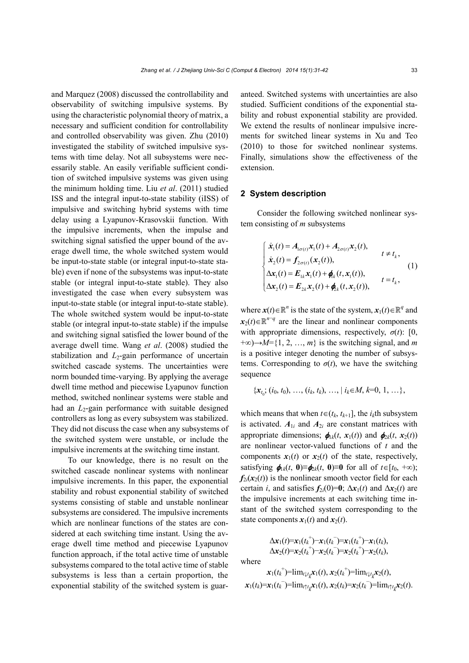and Marquez (2008) discussed the controllability and observability of switching impulsive systems. By using the characteristic polynomial theory of matrix, a necessary and sufficient condition for controllability and controlled observability was given. Zhu (2010) investigated the stability of switched impulsive systems with time delay. Not all subsystems were necessarily stable. An easily verifiable sufficient condition of switched impulsive systems was given using the minimum holding time. Liu *et al*. (2011) studied ISS and the integral input-to-state stability (iISS) of impulsive and switching hybrid systems with time delay using a Lyapunov-Krasovskii function. With the impulsive increments, when the impulse and switching signal satisfied the upper bound of the average dwell time, the whole switched system would be input-to-state stable (or integral input-to-state stable) even if none of the subsystems was input-to-state stable (or integral input-to-state stable). They also investigated the case when every subsystem was input-to-state stable (or integral input-to-state stable). The whole switched system would be input-to-state stable (or integral input-to-state stable) if the impulse and switching signal satisfied the lower bound of the average dwell time. Wang *et al*. (2008) studied the stabilization and  $L_2$ -gain performance of uncertain switched cascade systems. The uncertainties were norm bounded time-varying. By applying the average dwell time method and piecewise Lyapunov function method, switched nonlinear systems were stable and had an *L*<sub>2</sub>-gain performance with suitable designed controllers as long as every subsystem was stabilized. They did not discuss the case when any subsystems of the switched system were unstable, or include the impulsive increments at the switching time instant.

To our knowledge, there is no result on the switched cascade nonlinear systems with nonlinear impulsive increments. In this paper, the exponential stability and robust exponential stability of switched systems consisting of stable and unstable nonlinear subsystems are considered. The impulsive increments which are nonlinear functions of the states are considered at each switching time instant. Using the average dwell time method and piecewise Lyapunov function approach, if the total active time of unstable subsystems compared to the total active time of stable subsystems is less than a certain proportion, the exponential stability of the switched system is guaranteed. Switched systems with uncertainties are also studied. Sufficient conditions of the exponential stability and robust exponential stability are provided. We extend the results of nonlinear impulsive increments for switched linear systems in Xu and Teo (2010) to those for switched nonlinear systems. Finally, simulations show the effectiveness of the extension.

## **2 System description**

Consider the following switched nonlinear system consisting of *m* subsystems

$$
\begin{cases}\n\dot{x}_1(t) = A_{1\sigma(t)}x_1(t) + A_{2\sigma(t)}x_2(t), & t \neq t_k, \\
\dot{x}_2(t) = f_{2\sigma(t)}(x_2(t)), & t \neq t_k, \\
\Delta x_1(t) = E_{1k}x_1(t) + \phi_k(t, x_1(t)), & t = t_k, \\
\Delta x_2(t) = E_{2k}x_2(t) + \phi_{2k}(t, x_2(t)), & t = t_k,\n\end{cases}
$$
\n(1)

where  $\mathbf{x}(t) \in \mathbb{R}^n$  is the state of the system,  $\mathbf{x}_1(t) \in \mathbb{R}^q$  and  $x_2(t) \in \mathbb{R}^{n-q}$  are the linear and nonlinear components with appropriate dimensions, respectively,  $\sigma(t)$ : [0, +∞)→*M*={1, 2, …, *m*} is the switching signal, and *m* is a positive integer denoting the number of subsystems. Corresponding to  $\sigma(t)$ , we have the switching sequence

$$
\{x_{t_0}, (i_0, t_0), \ldots, (i_k, t_k), \ldots, | i_k \in M, k=0, 1, \ldots\},\
$$

which means that when  $t \in (t_k, t_{k+1}]$ , the  $i_k$ th subsystem is activated.  $A_{1i}$  and  $A_{2i}$  are constant matrices with appropriate dimensions;  $\phi_{1k}(t, x_1(t))$  and  $\phi_{2k}(t, x_2(t))$ are nonlinear vector-valued functions of *t* and the components  $x_1(t)$  or  $x_2(t)$  of the state, respectively, satisfying  $\phi_{1k}(t, 0) \equiv \phi_{2k}(t, 0) \equiv 0$  for all of  $t \in [t_0, +\infty)$ ;  $f_{2i}(x_2(t))$  is the nonlinear smooth vector field for each certain *i*, and satisfies  $f_{2i}(0)=0$ ;  $\Delta x_1(t)$  and  $\Delta x_2(t)$  are the impulsive increments at each switching time instant of the switched system corresponding to the state components  $x_1(t)$  and  $x_2(t)$ .

$$
\Delta x_1(t)=x_1(t_k^+) - x_1(t_k^-)=x_1(t_k^+) - x_1(t_k),\Delta x_2(t)=x_2(t_k^+) - x_2(t_k^-)=x_2(t_k^+) - x_2(t_k),
$$

where

$$
x_1(t_k^+) = \lim_{t \downarrow t_k} x_1(t), x_2(t_k^+) = \lim_{t \downarrow t_k} x_2(t),
$$
  

$$
x_1(t_k) = x_1(t_k^-) = \lim_{t \uparrow t_k} x_1(t), x_2(t_k) = x_2(t_k^-) = \lim_{t \uparrow t_k} x_2(t).
$$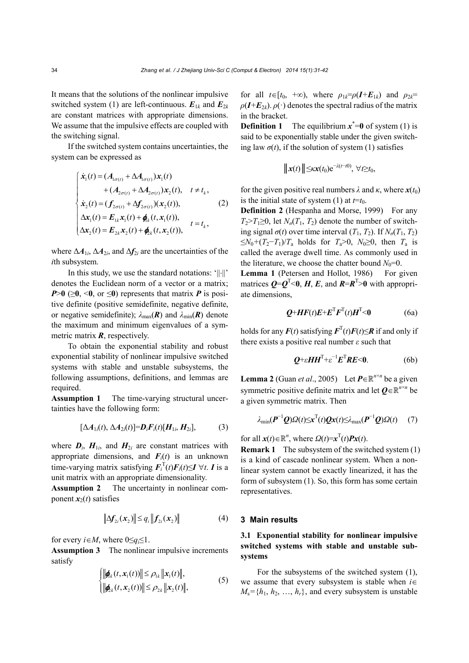It means that the solutions of the nonlinear impulsive switched system (1) are left-continuous.  $E_{1k}$  and  $E_{2k}$ are constant matrices with appropriate dimensions. We assume that the impulsive effects are coupled with the switching signal.

If the switched system contains uncertainties, the system can be expressed as

$$
\begin{cases}\n\dot{x}_1(t) = (A_{1\sigma(t)} + \Delta A_{1\sigma(t)})x_1(t) \\
+ (A_{2\sigma(t)} + \Delta A_{2\sigma(t)})x_2(t), \quad t \neq t_k, \\
\dot{x}_2(t) = (f_{2\sigma(t)} + \Delta f_{2\sigma(t)}) (x_2(t)), \\
\Delta x_1(t) = E_{1k}x_1(t) + \phi_k(t, x_1(t)), \\
\Delta x_2(t) = E_{2k}x_2(t) + \phi_k(t, x_2(t)),\n\end{cases}
$$
\n(2)

where  $\Delta A_{1i}$ ,  $\Delta A_{2i}$ , and  $\Delta f_{2i}$  are the uncertainties of the *i*th subsystem.

In this study, we use the standard notations: ' $|| \cdot ||'$ denotes the Euclidean norm of a vector or a matrix;  $P>0$  ( $\geq 0$ ,  $\leq 0$ , or  $\leq 0$ ) represents that matrix *P* is positive definite (positive semidefinite, negative definite, or negative semidefinite);  $\lambda_{\text{max}}(\mathbf{R})$  and  $\lambda_{\text{min}}(\mathbf{R})$  denote the maximum and minimum eigenvalues of a symmetric matrix *R*, respectively.

To obtain the exponential stability and robust exponential stability of nonlinear impulsive switched systems with stable and unstable subsystems, the following assumptions, definitions, and lemmas are required.

**Assumption 1** The time-varying structural uncertainties have the following form:

$$
[\Delta A_{1i}(t), \Delta A_{2i}(t)] = \boldsymbol{D}_i \boldsymbol{F}_i(t) [\boldsymbol{H}_{1i}, \boldsymbol{H}_{2i}], \qquad (3)
$$

where  $D_i$ ,  $H_{1i}$ , and  $H_{2i}$  are constant matrices with appropriate dimensions, and  $F_i(t)$  is an unknown time-varying matrix satisfying  $\mathbf{F}_i^{\mathrm{T}}(t)\mathbf{F}_i(t) \leq \mathbf{I} \ \forall t$ . *I* is a unit matrix with an appropriate dimensionality.

**Assumption 2** The uncertainty in nonlinear component  $x_2(t)$  satisfies

$$
\left\| \Delta f_{2i}(x_2) \right\| \leq q_i \left\| f_{2i}(x_2) \right\| \tag{4}
$$

for every  $i \in M$ , where  $0 \leq q_i \leq 1$ .

**Assumption 3** The nonlinear impulsive increments satisfy

$$
\begin{cases}\n\|\pmb{\phi}_k(t, \mathbf{x}_1(t))\| \leq \rho_{1k} \|\mathbf{x}_1(t)\|, \\
\|\pmb{\phi}_k(t, \mathbf{x}_2(t))\| \leq \rho_{2k} \|\mathbf{x}_2(t)\|,\n\end{cases} (5)
$$

for all  $t \in [t_0, +\infty)$ , where  $\rho_{1k} = \rho(I + E_{1k})$  and  $\rho_{2k} =$  $\rho(I+E_{2k})$ .  $\rho(\cdot)$  denotes the spectral radius of the matrix in the bracket.

**Definition 1** The equilibrium  $x^* = 0$  of system (1) is said to be exponentially stable under the given switching law  $\sigma(t)$ , if the solution of system (1) satisfies

$$
\|x(t)\| \leq \kappa x(t_0) e^{-\lambda(t-t_0)}, \forall t \geq t_0,
$$

for the given positive real numbers  $\lambda$  and  $\kappa$ , where  $\mathbf{x}(t_0)$ is the initial state of system (1) at  $t=t_0$ .

**Definition 2** (Hespanha and Morse, 1999)For any  $T_2 > T_1 \geq 0$ , let  $N_\sigma(T_1, T_2)$  denote the number of switching signal  $\sigma(t)$  over time interval  $(T_1, T_2)$ . If  $N_{\sigma}(T_1, T_2)$ ≤ $N_0$ +( $T_2$ - $T_1$ )/ $T_a$  holds for  $T_a$ >0,  $N_0$ ≥0, then  $T_a$  is called the average dwell time. As commonly used in the literature, we choose the chatter bound  $N_0=0$ .

Lemma 1 (Petersen and Hollot, 1986) For given matrices  $Q = Q^{T} < 0$ , *H*, *E*, and  $R = R^{T} > 0$  with appropriate dimensions,

$$
\mathbf{Q} + \mathbf{H}\mathbf{F}(t)\mathbf{E} + \mathbf{E}^{\mathrm{T}}\mathbf{F}^{\mathrm{T}}(t)\mathbf{H}^{\mathrm{T}} < 0 \tag{6a}
$$

holds for any  $F(t)$  satisfying  $F<sup>T</sup>(t)F(t) \le R$  if and only if there exists a positive real number *ε* such that

$$
Q^+ \varepsilon H H^{\mathrm{T}} + \varepsilon^{-1} E^{\mathrm{T}} R E < 0. \tag{6b}
$$

**Lemma 2** (Guan *et al.*, 2005) Let  $P \in \mathbb{R}^{n \times n}$  be a given symmetric positive definite matrix and let  $Q \in \mathbb{R}^{n \times n}$  be a given symmetric matrix. Then

$$
\lambda_{\min}(\boldsymbol{P}^{-1}\boldsymbol{Q})\mathcal{Q}(t) \leq \mathbf{x}^{\mathrm{T}}(t)\boldsymbol{Q}\mathbf{x}(t) \leq \lambda_{\max}(\boldsymbol{P}^{-1}\boldsymbol{Q})\mathcal{Q}(t) \qquad (7)
$$

for all  $\mathbf{x}(t) \in \mathbb{R}^n$ , where  $\Omega(t) = \mathbf{x}^T(t) \mathbf{P} \mathbf{x}(t)$ .

**Remark 1** The subsystem of the switched system (1) is a kind of cascade nonlinear system. When a nonlinear system cannot be exactly linearized, it has the form of subsystem (1). So, this form has some certain representatives.

#### **3 Main results**

## **3.1 Exponential stability for nonlinear impulsive switched systems with stable and unstable subsystems**

For the subsystems of the switched system (1), we assume that every subsystem is stable when  $i \in$  $M_s = \{h_1, h_2, \ldots, h_r\}$ , and every subsystem is unstable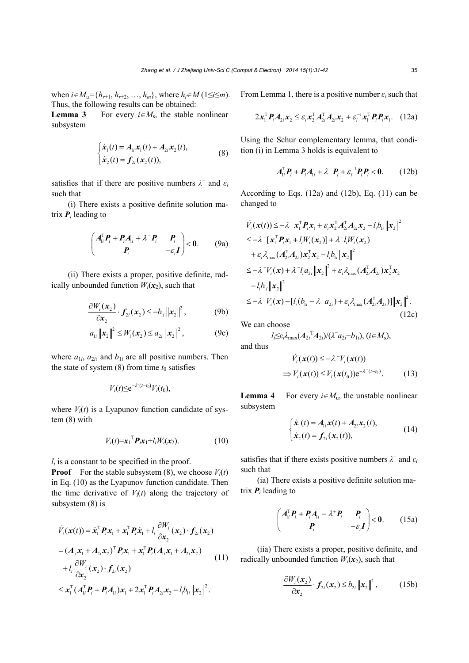when  $i \in M_u = \{h_{r+1}, h_{r+2}, ..., h_m\}$ , where  $h_i \in M$  (1≤*i*≤*m*). Thus, the following results can be obtained:

**Lemma 3** For every  $i \in M_s$ , the stable nonlinear subsystem

$$
\begin{cases} \dot{\mathbf{x}}_1(t) = A_{1i} \mathbf{x}_1(t) + A_{2i} \mathbf{x}_2(t), \\ \dot{\mathbf{x}}_2(t) = \mathbf{f}_{2i} (\mathbf{x}_2(t)), \end{cases}
$$
 (8)

satisfies that if there are positive numbers  $\lambda^-$  and  $\varepsilon_i$ such that

(i) There exists a positive definite solution matrix  $P_i$  leading to

$$
\begin{pmatrix} A_{ii}^{\mathrm{T}}P_i + P_i A_{ii} + \lambda^{-} P_i & P_i \\ P_i & -\varepsilon_i I \end{pmatrix} < 0.
$$
 (9a)

(ii) There exists a proper, positive definite, radically unbounded function  $W_i(\mathbf{x}_2)$ , such that

$$
\frac{\partial W_i(\mathbf{x}_2)}{\partial \mathbf{x}_2} \cdot \mathbf{f}_{2i}(\mathbf{x}_2) \le -b_{1i} ||\mathbf{x}_2||^2, \tag{9b}
$$

$$
a_{1i} \|x_2\|^2 \le W_i(x_2) \le a_{2i} \|x_2\|^2, \tag{9c}
$$

where  $a_{1i}$ ,  $a_{2i}$ , and  $b_{1i}$  are all positive numbers. Then the state of system  $(8)$  from time  $t_0$  satisfies

$$
V_i(t) \leq e^{-\lambda^-(t-t_0)} V_i(t_0),
$$

where  $V_i(t)$  is a Lyapunov function candidate of system (8) with

$$
V_i(t) = x_1^{\mathrm{T}} P_i x_1 + l_i W_i(x_2). \tag{10}
$$

 $l_i$  is a constant to be specified in the proof.

**Proof** For the stable subsystem (8), we choose  $V_i(t)$ in Eq. (10) as the Lyapunov function candidate. Then the time derivative of  $V_i(t)$  along the trajectory of subsystem (8) is

$$
\dot{V}_i(\mathbf{x}(t)) = \dot{\mathbf{x}}_1^{\mathrm{T}} \boldsymbol{P}_i \mathbf{x}_1 + \mathbf{x}_1^{\mathrm{T}} \boldsymbol{P}_i \dot{\mathbf{x}}_1 + l_i \frac{\partial W_i}{\partial \mathbf{x}_2} (\mathbf{x}_2) \cdot \boldsymbol{f}_{2i} (\mathbf{x}_2)
$$
\n
$$
= (\boldsymbol{A}_{1i} \mathbf{x}_1 + \boldsymbol{A}_{2i} \mathbf{x}_2)^{\mathrm{T}} \boldsymbol{P}_i \mathbf{x}_1 + \mathbf{x}_1^{\mathrm{T}} \boldsymbol{P}_i (\boldsymbol{A}_{1i} \mathbf{x}_1 + \boldsymbol{A}_{2i} \mathbf{x}_2)
$$
\n
$$
+ l_i \frac{\partial W_i}{\partial \mathbf{x}_2} (\mathbf{x}_2) \cdot \boldsymbol{f}_{2i} (\mathbf{x}_2)
$$
\n
$$
\leq \mathbf{x}_1^{\mathrm{T}} (\boldsymbol{A}_{1i}^{\mathrm{T}} \boldsymbol{P}_i + \boldsymbol{P}_i \boldsymbol{A}_{1i}) \mathbf{x}_1 + 2 \mathbf{x}_1^{\mathrm{T}} \boldsymbol{P}_i \boldsymbol{A}_{2i} \mathbf{x}_2 - l_i \boldsymbol{b}_{1i} ||\mathbf{x}_2||^2.
$$
\n(11)

From Lemma 1, there is a positive number  $\varepsilon_i$  such that

$$
2\boldsymbol{x}_{1}^{\mathrm{T}}\boldsymbol{P}_{i}\boldsymbol{A}_{2i}\boldsymbol{x}_{2} \leq \varepsilon_{i}\boldsymbol{x}_{2}^{\mathrm{T}}\boldsymbol{A}_{2i}^{\mathrm{T}}\boldsymbol{A}_{2i}\boldsymbol{x}_{2} + \varepsilon_{i}^{-1}\boldsymbol{x}_{1}^{\mathrm{T}}\boldsymbol{P}_{i}\boldsymbol{P}_{i}\boldsymbol{x}_{1}. \quad (12a)
$$

Using the Schur complementary lemma, that condition (i) in Lemma 3 holds is equivalent to

$$
A_{ii}^{\mathrm{T}}P_i + P_i A_{1i} + \lambda^{\mathrm{T}}P_i + \varepsilon_i^{-1} P_i P_i < 0. \qquad (12b)
$$

According to Eqs. (12a) and (12b), Eq. (11) can be changed to

$$
\dot{V}_i(\mathbf{x}(t)) \le -\lambda^\top \mathbf{x}_1^\top \mathbf{P}_i \mathbf{x}_1 + \varepsilon_i \mathbf{x}_2^\top \mathbf{A}_{2i}^\top \mathbf{A}_{2i} \mathbf{x}_2 - l_i b_{1i} ||\mathbf{x}_2||^2
$$
\n
$$
\le -\lambda^\top [\mathbf{x}_1^\top \mathbf{P}_i \mathbf{x}_1 + l_i W_i(\mathbf{x}_2)] + \lambda^\top l_i W_i(\mathbf{x}_2)
$$
\n
$$
+ \varepsilon_i \lambda_{\max} (\mathbf{A}_{2i}^\top \mathbf{A}_{2i}) \mathbf{x}_2^\top \mathbf{x}_2 - l_i b_{1i} ||\mathbf{x}_2||^2
$$
\n
$$
\le -\lambda^\top V_i(\mathbf{x}) + \lambda^\top l_i a_{2i} ||\mathbf{x}_2||^2 + \varepsilon_i \lambda_{\max} (\mathbf{A}_{2i}^\top \mathbf{A}_{2i}) \mathbf{x}_2^\top \mathbf{x}_2
$$
\n
$$
-l_i b_{1i} ||\mathbf{x}_2||^2
$$
\n
$$
\le -\lambda^\top V_i(\mathbf{x}) - [l_i (b_{1i} - \lambda^\top a_{2i}) + \varepsilon_i \lambda_{\max} (\mathbf{A}_{2i}^\top \mathbf{A}_{2i})] ||\mathbf{x}_2||^2. \tag{12c}
$$

We can choose

$$
l_i \leq \varepsilon_i \lambda_{\max}(A_{2i}^T A_{2i})/(\lambda^- a_{2i} - b_{1i}), \quad (i \in M_s),
$$
\nand thus

\n
$$
\dot{V}(\mathbf{x}(t)) \leq -\lambda^- V(\mathbf{x}(t))
$$

$$
\Rightarrow V_i(\mathbf{x}(t)) \leq V_i(\mathbf{x}(t_0))e^{-\lambda^-(t-t_0)}.\tag{13}
$$

**Lemma 4** For every  $i \in M_u$ , the unstable nonlinear subsystem

$$
\begin{cases} \dot{x}_1(t) = A_{1i}x(t) + A_{2i}x_2(t), \\ \dot{x}_2(t) = f_{2i}(x_2(t)), \end{cases}
$$
\n(14)

satisfies that if there exists positive numbers  $\lambda^+$  and  $\varepsilon_i$ such that

(ia) There exists a positive definite solution matrix  $P_i$  leading to

$$
\begin{pmatrix} A_{i}^{\mathrm{T}} P_{i} + P_{i} A_{i} - \lambda^{+} P_{i} & P_{i} \\ P_{i} & -\varepsilon_{i} I \end{pmatrix} < 0.
$$
 (15a)

(iia) There exists a proper, positive definite, and radically unbounded function  $W_i(\mathbf{x}_2)$ , such that

$$
\frac{\partial W_i(\mathbf{x}_2)}{\partial \mathbf{x}_2} \cdot \mathbf{f}_{2i}(\mathbf{x}_2) \le b_{2i} ||\mathbf{x}_2||^2, \quad (15b)
$$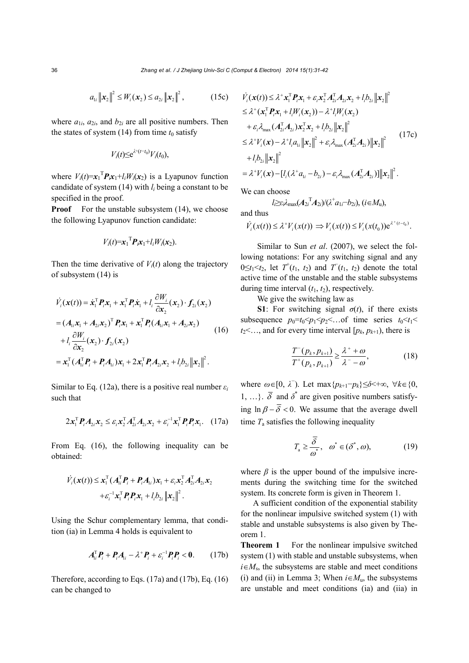$$
a_{1i} \|x_2\|^2 \le W_i(x_2) \le a_{2i} \|x_2\|^2, \qquad (15c)
$$

where  $a_{1i}$ ,  $a_{2i}$ , and  $b_{2i}$  are all positive numbers. Then the states of system  $(14)$  from time  $t_0$  satisfy

$$
V_i(t) \leq e^{\lambda^+(t-t_0)} V_i(t_0),
$$

where  $V_i(t) = x_1^\mathrm{T} P_i x_1 + l_i W_i(x_2)$  is a Lyapunov function candidate of system (14) with *li* being a constant to be specified in the proof.

**Proof** For the unstable subsystem (14), we choose the following Lyapunov function candidate:

$$
V_i(t)=\mathbf{x}_1^{\mathrm{T}}\mathbf{P}_i\mathbf{x}_1+l_iW_i(\mathbf{x}_2).
$$

Then the time derivative of  $V_i(t)$  along the trajectory of subsystem (14) is

$$
\dot{V}_i(\mathbf{x}(t)) = \dot{\mathbf{x}}_1^{\mathrm{T}} \boldsymbol{P}_i \mathbf{x}_1 + \mathbf{x}_1^{\mathrm{T}} \boldsymbol{P}_i \dot{\mathbf{x}}_1 + l_i \frac{\partial W_i}{\partial \mathbf{x}_2} (\mathbf{x}_2) \cdot \boldsymbol{f}_{2i} (\mathbf{x}_2)
$$
\n
$$
= (\boldsymbol{A}_{1i} \mathbf{x}_1 + \boldsymbol{A}_{2i} \mathbf{x}_2)^{\mathrm{T}} \boldsymbol{P}_i \mathbf{x}_1 + \mathbf{x}_1^{\mathrm{T}} \boldsymbol{P}_i (\boldsymbol{A}_{1i} \mathbf{x}_1 + \boldsymbol{A}_{2i} \mathbf{x}_2)
$$
\n
$$
+ l_i \frac{\partial W_i}{\partial \mathbf{x}_2} (\mathbf{x}_2) \cdot \boldsymbol{f}_{2i} (\mathbf{x}_2)
$$
\n
$$
= \mathbf{x}_1^{\mathrm{T}} (\boldsymbol{A}_{1i}^{\mathrm{T}} \boldsymbol{P}_i + \boldsymbol{P}_i \boldsymbol{A}_{1i}) \mathbf{x}_1 + 2 \mathbf{x}_1^{\mathrm{T}} \boldsymbol{P}_i \boldsymbol{A}_{2i} \mathbf{x}_2 + l_i \boldsymbol{b}_{2i} ||\mathbf{x}_2||^2.
$$
\n(16)

Similar to Eq. (12a), there is a positive real number  $\varepsilon_i$ such that

$$
2\boldsymbol{x}_{1}^{\mathrm{T}}\boldsymbol{P}_{i}\boldsymbol{A}_{2i}\boldsymbol{x}_{2} \leq \varepsilon_{i}\boldsymbol{x}_{2}^{\mathrm{T}}\boldsymbol{A}_{2i}^{\mathrm{T}}\boldsymbol{A}_{2i}\boldsymbol{x}_{2} + \varepsilon_{i}^{-1}\boldsymbol{x}_{1}^{\mathrm{T}}\boldsymbol{P}_{i}\boldsymbol{P}_{i}\boldsymbol{x}_{1}. \quad (17a)
$$

From Eq. (16), the following inequality can be obtained:

$$
\dot{V}_i(\boldsymbol{x}(t)) \leq \boldsymbol{x}_1^{\mathrm{T}} (\boldsymbol{A}_{1i}^{\mathrm{T}} \boldsymbol{P}_i + \boldsymbol{P}_i \boldsymbol{A}_{1i}) \boldsymbol{x}_1 + \varepsilon_i \boldsymbol{x}_2^{\mathrm{T}} \boldsymbol{A}_{2i}^{\mathrm{T}} \boldsymbol{A}_{2i} \boldsymbol{x}_2 \n+ \varepsilon_i^{-1} \boldsymbol{x}_1^{\mathrm{T}} \boldsymbol{P}_i \boldsymbol{P}_i \boldsymbol{x}_1 + l_i b_{2i} ||\boldsymbol{x}_2||^2.
$$

Using the Schur complementary lemma, that condition (ia) in Lemma 4 holds is equivalent to

$$
A_{i}^{\mathrm{T}}P_{i} + P_{i}A_{i} - \lambda^{+}P_{i} + \varepsilon_{i}^{-1}P_{i}P_{i} < 0. \qquad (17b)
$$

Therefore, according to Eqs. (17a) and (17b), Eq. (16) can be changed to

$$
\dot{V}_i(\mathbf{x}(t)) \leq \lambda^+ \mathbf{x}_1^\top P_i \mathbf{x}_1 + \varepsilon_i \mathbf{x}_2^\top A_{2i}^\top A_{2i} \mathbf{x}_2 + l_i b_{2i} ||\mathbf{x}_2||^2
$$
\n
$$
\leq \lambda^+ (\mathbf{x}_1^\top P_i \mathbf{x}_1 + l_i W_i(\mathbf{x}_2)) - \lambda^+ l_i W_i(\mathbf{x}_2)
$$
\n
$$
+ \varepsilon_i \lambda_{\max} (A_{2i}^\top A_{2i}) \mathbf{x}_2^\top \mathbf{x}_2 + l_i b_{2i} ||\mathbf{x}_2||^2
$$
\n
$$
\leq \lambda^+ V_i(\mathbf{x}) - \lambda^+ l_i a_{1i} ||\mathbf{x}_2||^2 + \varepsilon_i \lambda_{\max} (A_{2i}^\top A_{2i}) ||\mathbf{x}_2||^2
$$
\n
$$
+ l_i b_{2i} ||\mathbf{x}_2||^2
$$
\n
$$
= \lambda^+ V_i(\mathbf{x}) - [l_i(\lambda^+ a_{1i} - b_{2i}) - \varepsilon_i \lambda_{\max} (A_{2i}^\top A_{2i})] ||\mathbf{x}_2||^2.
$$
\n(17c)

We can choose

$$
l \geq \varepsilon_i \lambda_{\max}(A_{2i}^T A_{2i})/(\lambda^{\dagger} a_{1i} - b_{2i}), (i \in M_{\mathrm{u}}),
$$
 and thus

$$
\dot{V}_i(x(t)) \leq \lambda^+ V_i(x(t)) \Rightarrow V_i(x(t)) \leq V_i(x(t_0)) e^{\lambda^+(t-t_0)}.
$$

Similar to Sun *et al*. (2007), we select the following notations: For any switching signal and any  $0 \le t_1 \le t_2$ , let  $T^+(t_1, t_2)$  and  $T^-(t_1, t_2)$  denote the total active time of the unstable and the stable subsystems during time interval  $(t_1, t_2)$ , respectively.

We give the switching law as

**S1**: For switching signal  $\sigma(t)$ , if there exists subsequence  $p_0=t_0 \leq p_1 \leq p_2 \leq \ldots$  of time series  $t_0 \leq t_1 \leq$  $t_2$ <..., and for every time interval  $[p_k, p_{k+1})$ , there is

$$
\frac{T^{-}(p_{k}, p_{k+1})}{T^{+}(p_{k}, p_{k+1})} \geq \frac{\lambda^{+} + \omega}{\lambda^{-} - \omega},
$$
\n(18)

where  $\omega \in [0, \lambda]$ . Let max $\{p_{k+1} - p_k\} \leq \delta < +\infty$ ,  $\forall k \in \{0, \lambda\}$ 1, ...}.  $\overline{\delta}$  and  $\delta^*$  are given positive numbers satisfying  $\ln \beta - \overline{\delta}$  < 0. We assume that the average dwell time  $T_a$  satisfies the following inequality

$$
T_{\mathbf{a}} \ge \frac{\overline{\delta}}{\omega^*}, \quad \omega^* \in (\delta^*, \omega), \tag{19}
$$

where  $\beta$  is the upper bound of the impulsive increments during the switching time for the switched system. Its concrete form is given in Theorem 1.

A sufficient condition of the exponential stability for the nonlinear impulsive switched system (1) with stable and unstable subsystems is also given by Theorem 1.

**Theorem 1** For the nonlinear impulsive switched system (1) with stable and unstable subsystems, when  $i \in M_s$ , the subsystems are stable and meet conditions (i) and (ii) in Lemma 3; When  $i \in M_u$ , the subsystems are unstable and meet conditions (ia) and (iia) in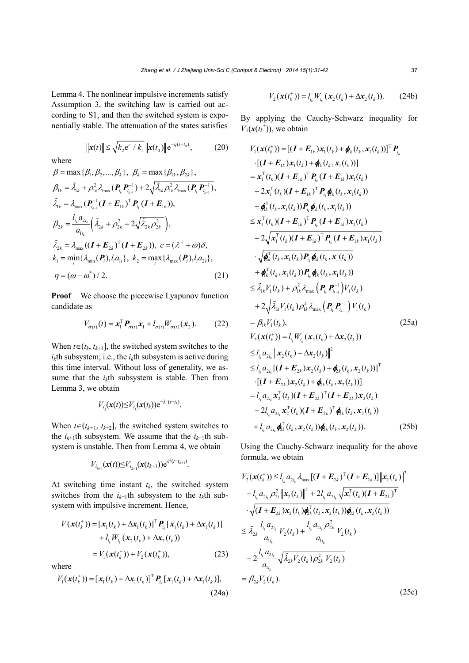Lemma 4. The nonlinear impulsive increments satisfy Assumption 3, the switching law is carried out according to S1, and then the switched system is exponentially stable. The attenuation of the states satisfies

$$
\|\mathbf{x}(t)\| \le \sqrt{k_2 e^c / k_1} \, \|\mathbf{x}(t_0)\| \, e^{-\eta(t - t_0)},\tag{20}
$$

where

$$
\beta = \max \{ \beta_1, \beta_2, ..., \beta_k \}, \ \beta_k = \max \{ \beta_{1k}, \beta_{2k} \},
$$
\n
$$
\beta_{1k} = \tilde{\lambda}_{1k} + \rho_{1k}^2 \lambda_{\max} (\mathbf{P}_{i_k} \mathbf{P}_{i_{k-1}}^{-1}) + 2 \sqrt{\tilde{\lambda}_{1k} \rho_{1k}^2 \lambda_{\max} (\mathbf{P}_{i_k} \mathbf{P}_{i_{k-1}}^{-1})},
$$
\n
$$
\tilde{\lambda}_{1k} = \lambda_{\max} (\mathbf{P}_{i_{k-1}}^{-1} (\mathbf{I} + \mathbf{E}_{1k})^T \mathbf{P}_{i_k} (\mathbf{I} + \mathbf{E}_{1k})),
$$
\n
$$
\beta_{2k} = \frac{l_{i_k} a_{2i_k}}{a_{1i_k}} \left( \tilde{\lambda}_{2k} + \rho_{2k}^2 + 2 \sqrt{\tilde{\lambda}_{2k} \rho_{2k}^2} \right),
$$
\n
$$
\tilde{\lambda}_{2k} = \lambda_{\max} ((\mathbf{I} + \mathbf{E}_{2k})^T (\mathbf{I} + \mathbf{E}_{2k})), \ c = (\lambda^+ + \omega) \delta,
$$
\n
$$
k_1 = \min_i \{ \lambda_{\min} (\mathbf{P}_i), l_i a_{1i} \}, \ k_2 = \max_i \{ \lambda_{\max} (\mathbf{P}_i), l_i a_{2i} \},
$$
\n
$$
\eta = (\omega - \omega^*) / 2.
$$
\n(21)

**Proof** We choose the piecewise Lyapunov function candidate as

$$
V_{\sigma(t)}(t) = \mathbf{x}_1^{\mathrm{T}} \mathbf{P}_{\sigma(t)} \mathbf{x}_1 + l_{\sigma(t)} W_{\sigma(t)}(\mathbf{x}_2).
$$
 (22)

When  $t \in (t_k, t_{k+1}]$ , the switched system switches to the  $i_k$ th subsystem; i.e., the  $i_k$ th subsystem is active during this time interval. Without loss of generality, we assume that the  $i<sub>k</sub>$ th subsystem is stable. Then from Lemma 3, we obtain

$$
V_{i_k}(\mathbf{x}(t)) \leq V_{i_k}(\mathbf{x}(t_k)) \mathrm{e}^{-\lambda^-(t-t_k)}.
$$

When  $t \in (t_{k+1}, t_{k+2}]$ , the switched system switches to the  $i_{k+1}$ th subsystem. We assume that the  $i_{k+1}$ th subsystem is unstable. Then from Lemma 4, we obtain

$$
V_{i_{k+1}}(\mathbf{x}(t)) \leq V_{i_{k+1}}(\mathbf{x}(t_{k+1})) e^{\lambda^{+}(t-t_{k+1})}.
$$

At switching time instant  $t_k$ , the switched system switches from the *ik*−1th subsystem to the *ik*th subsystem with impulsive increment. Hence,

$$
V(\mathbf{x}(t_k^+)) = [\mathbf{x}_1(t_k) + \Delta \mathbf{x}_1(t_k)]^T \, \mathbf{P}_{i_k} [\mathbf{x}_1(t_k) + \Delta \mathbf{x}_1(t_k)] + l_{i_k} W_{i_k} (\mathbf{x}_2(t_k) + \Delta \mathbf{x}_2(t_k)) = V_1(\mathbf{x}(t_k^+)) + V_2(\mathbf{x}(t_k^+)),
$$
 (23)

where

$$
V_1(\mathbf{x}(t_k^+)) = [\mathbf{x}_1(t_k) + \Delta \mathbf{x}_1(t_k)]^T \, \mathbf{P}_{i_k} [\mathbf{x}_1(t_k) + \Delta \mathbf{x}_1(t_k)],
$$
\n(24a)

$$
V_2(\mathbf{x}(t_k^+)) = l_{i_k} W_{i_k}(\mathbf{x}_2(t_k) + \Delta \mathbf{x}_2(t_k)).
$$
 (24b)

By applying the Cauchy-Schwarz inequality for  $V_1(\mathbf{x}(t_k^+))$ , we obtain

$$
V_{1}(\mathbf{x}(t_{k}^{+}))=[(\boldsymbol{I}+\boldsymbol{E}_{1k})\mathbf{x}_{1}(t_{k})+\phi_{k}(t_{k},\mathbf{x}_{1}(t_{k}))]^{T}\boldsymbol{P}_{i_{k}}
$$
  
\n
$$
\cdot[(\boldsymbol{I}+\boldsymbol{E}_{1k})\mathbf{x}_{1}(t_{k})+\phi_{k}(t_{k},\mathbf{x}_{1}(t_{k}))]
$$
  
\n
$$
=\mathbf{x}_{1}^{T}(t_{k})(\boldsymbol{I}+\boldsymbol{E}_{1k})^{T}\boldsymbol{P}_{i_{k}}(\boldsymbol{I}+\boldsymbol{E}_{1k})\mathbf{x}_{1}(t_{k})
$$
  
\n
$$
+2\mathbf{x}_{1}^{T}(t_{k})(\boldsymbol{I}+\boldsymbol{E}_{1k})^{T}\boldsymbol{P}_{i_{k}}\phi_{k}(t_{k},\mathbf{x}_{1}(t_{k}))
$$
  
\n
$$
+\phi_{k}^{T}(t_{k},\mathbf{x}_{1}(t_{k}))\boldsymbol{P}_{i_{k}}\phi_{k}(t_{k},\mathbf{x}_{1}(t_{k}))
$$
  
\n
$$
\leq \mathbf{x}_{1}^{T}(t_{k})(\boldsymbol{I}+\boldsymbol{E}_{1k})^{T}\boldsymbol{P}_{i_{k}}(\boldsymbol{I}+\boldsymbol{E}_{1k})\mathbf{x}_{1}(t_{k})
$$
  
\n
$$
+2\sqrt{\mathbf{x}_{1}^{T}(t_{k})(\boldsymbol{I}+\boldsymbol{E}_{1k})^{T}\boldsymbol{P}_{i_{k}}(\boldsymbol{I}+\boldsymbol{E}_{1k})\mathbf{x}_{1}(t_{k})}
$$
  
\n
$$
\cdot\sqrt{\phi_{k}^{T}(t_{k},\mathbf{x}_{1}(t_{k}))\boldsymbol{P}_{i_{k}}\phi_{k}(t_{k},\mathbf{x}_{1}(t_{k}))}
$$
  
\n
$$
+\phi_{k}^{T}(t_{k},\mathbf{x}_{1}(t_{k}))\boldsymbol{P}_{i_{k}}\phi_{k}(t_{k},\mathbf{x}_{1}(t_{k}))
$$
  
\n
$$
\leq \tilde{\lambda}_{1k}V_{1}(t_{k})+\rho_{1k}^{2}\lambda_{\max}\left(\boldsymbol{P}_{i_{k}}\boldsymbol{P}_{i_{k-1}}^{-1}\right)V_{1}(t_{k})
$$
  
\n
$$
+\rho_{1k}^{T}(t_{k},\mathbf
$$

Using the Cauchy-Schwarz inequality for the above formula, we obtain

$$
V_{2}(\mathbf{x}(t_{k}^{+})) \leq l_{i_{k}} a_{2i_{k}} \lambda_{\max} [(\mathbf{I} + \mathbf{E}_{2k})^{\mathrm{T}} (\mathbf{I} + \mathbf{E}_{2k})] ||\mathbf{x}_{2}(t_{k})||^{2}
$$
  
+  $l_{i_{k}} a_{2i_{k}} \rho_{2i}^{2} ||\mathbf{x}_{2}(t_{k})||^{2} + 2l_{i_{k}} a_{2i_{k}} \sqrt{\mathbf{x}_{2}^{\mathrm{T}}(t_{k}) (\mathbf{I} + \mathbf{E}_{2k})^{\mathrm{T}}}$   
 $\cdot \sqrt{(\mathbf{I} + \mathbf{E}_{2k}) \mathbf{x}_{2} (t_{k}) \boldsymbol{\phi}_{2k}^{\mathrm{T}}(t_{k}, \mathbf{x}_{2}(t_{k})) \boldsymbol{\phi}_{2k} (t_{k}, \mathbf{x}_{2}(t_{k}))}$   
 $\leq \tilde{\lambda}_{2k} \frac{l_{i_{k}} a_{2i_{k}}}{a_{1i_{k}}} V_{2}(t_{k}) + \frac{l_{i_{k}} a_{2i_{k}} \rho_{2k}^{2}}{a_{1i_{k}}} V_{2}(t_{k})$   
+  $2 \frac{l_{i_{k}} a_{2i_{k}}}{a_{1i_{k}}} \sqrt{\tilde{\lambda}_{2k}} V_{2}(t_{k}) \rho_{2k}^{2} V_{2}(t_{k})$   
=  $\beta_{2k} V_{2}(t_{k}).$  (25c)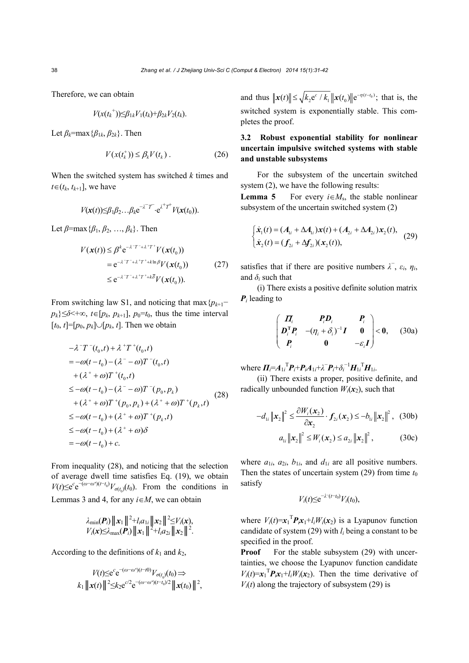Therefore, we can obtain

$$
V(x(t_k^+))\leq \beta_{1k}V_1(t_k)+\beta_{2k}V_2(t_k).
$$

Let  $\beta_k$ =max { $\beta_{1k}$ ,  $\beta_{2k}$ }. Then

$$
V(x(tk+)) \leq \beta_k V(t_k) . \tag{26}
$$

When the switched system has switched *k* times and  $t \in (t_k, t_{k+1}]$ , we have

$$
V(\mathbf{x}(t))\leq \beta_1\beta_2\ldots\beta_k e^{-\lambda^T T^{\top}}\cdot e^{\lambda^+T^+}V(\mathbf{x}(t_0)).
$$

Let *β*=max{*β*1, *β*2, …, *βk*}. Then

$$
V(\mathbf{x}(t)) \leq \beta^k e^{-\lambda^2 T^2 + \lambda^2 T^2} V(\mathbf{x}(t_0))
$$
  
=  $e^{-\lambda^2 T^2 + \lambda^2 T^2 + k \ln \beta} V(\mathbf{x}(t_0))$  (27)  
 $\leq e^{-\lambda^2 T^2 + \lambda^2 T^2 + k \delta} V(\mathbf{x}(t_0)).$ 

From switching law S1, and noticing that max{*pk*+1−  $p_k$ } $\leq \delta$   $\lt +\infty$ ,  $t \in [p_k, p_{k+1}]$ ,  $p_0=t_0$ , thus the time interval  $[t_0, t] = [p_0, p_k] \cup [p_k, t]$ . Then we obtain

$$
-\lambda^{-}T^{-}(t_{0},t) + \lambda^{+}T^{+}(t_{0},t)
$$
  
=  $-\omega(t-t_{0}) - (\lambda^{-} - \omega)T^{-}(t_{0},t)$   
+  $(\lambda^{+} + \omega)T^{+}(t_{0},t)$   
 $\leq -\omega(t-t_{0}) - (\lambda^{-} - \omega)T^{-}(p_{0},p_{k})$   
+  $(\lambda^{+} + \omega)T^{+}(p_{0},p_{k}) + (\lambda^{+} + \omega)T^{+}(p_{k},t)$   
 $\leq -\omega(t-t_{0}) + (\lambda^{+} + \omega)T^{+}(p_{k},t)$   
 $\leq -\omega(t-t_{0}) + (\lambda^{+} + \omega)\delta$   
=  $-\omega(t-t_{0}) + c$ .

From inequality (28), and noticing that the selection of average dwell time satisfies Eq. (19), we obtain  $V(t) \le e^{c} e^{-(\omega - \omega^{*})(t-t_0)} V_{\sigma(t_0)}(t_0)$ . From the conditions in Lemmas 3 and 4, for any  $i \in M$ , we can obtain

$$
\lambda_{\min}(\boldsymbol{P}_i) \| \boldsymbol{x}_1 \|^2 + l_i a_{1i} \| \boldsymbol{x}_2 \|^2 \leq V_i(\boldsymbol{x}),
$$
  
 
$$
V_i(\boldsymbol{x}) \leq \lambda_{\max}(\boldsymbol{P}_i) \| \boldsymbol{x}_1 \|^2 + l_i a_{2i} \| \boldsymbol{x}_2 \|^2.
$$

According to the definitions of  $k_1$  and  $k_2$ ,

$$
V(t) \le e^{c} e^{-(\omega - \omega^{*})(t-t0)} V_{\sigma(t_0)}(t_0) \Rightarrow
$$
  

$$
k_1 ||\mathbf{x}(t)||^{2} \le k_2 e^{c/2} e^{-(\omega - \omega^{*})(t-t_0)/2} ||\mathbf{x}(t_0)||^{2},
$$

and thus  $\|\mathbf{x}(t)\| \le \sqrt{k_2} \mathrm{e}^c / k_1 \|\mathbf{x}(t_0)\| \mathrm{e}^{-\eta(t-t_0)}$ ; that is, the switched system is exponentially stable. This completes the proof.

## **3.2 Robust exponential stability for nonlinear uncertain impulsive switched systems with stable and unstable subsystems**

For the subsystem of the uncertain switched system (2), we have the following results:

**Lemma 5** For every  $i \in M_s$ , the stable nonlinear subsystem of the uncertain switched system (2)

$$
\begin{cases} \dot{x}_1(t) = (A_{1i} + \Delta A_{1i})x(t) + (A_{2i} + \Delta A_{2i})x_2(t), \\ \dot{x}_2(t) = (f_{2i} + \Delta f_{2i})(x_2(t)), \end{cases}
$$
 (29)

satisfies that if there are positive numbers  $\lambda^-, \varepsilon_i, \eta_i$ , and  $\delta_i$  such that

(i) There exists a positive definite solution matrix *Pi* leading to

$$
\begin{pmatrix} \boldsymbol{\Pi}_i & \boldsymbol{P}_i \boldsymbol{D}_i & \boldsymbol{P}_i \\ \boldsymbol{D}_i^{\mathrm{T}} \boldsymbol{P}_i & -(\eta_i + \delta_i)^{-1} \boldsymbol{I} & \boldsymbol{0} \\ \boldsymbol{P}_i & \boldsymbol{0} & -\varepsilon_i \boldsymbol{I} \end{pmatrix} < \boldsymbol{0}, \qquad (30a)
$$

 ${\bf W}$  where  ${\bf \Pi}_{i} = A_{1i}{}^{T} {\bf P}_{i} + {\bf P}_{i} A_{1i} + \lambda^{T} {\bf P}_{i} + \delta_{i}^{-1} {\bf H}_{1i}{}^{T} {\bf H}_{1i}.$ 

(ii) There exists a proper, positive definite, and radically unbounded function  $W_i(\mathbf{x}_2)$ , such that

$$
-d_{1i} \left\| \mathbf{x}_2 \right\|^2 \leq \frac{\partial W_i(\mathbf{x}_2)}{\partial \mathbf{x}_2} \cdot f_{2i}(\mathbf{x}_2) \leq -b_{1i} \left\| \mathbf{x}_2 \right\|^2, \quad (30b)
$$

$$
a_{1i} \left\| \mathbf{x}_2 \right\|^2 \leq W_i(\mathbf{x}_2) \leq a_{2i} \left\| \mathbf{x}_2 \right\|^2, \quad (30c)
$$

where  $a_{1i}$ ,  $a_{2i}$ ,  $b_{1i}$ , and  $d_{1i}$  are all positive numbers. Then the states of uncertain system  $(29)$  from time  $t_0$ satisfy

$$
V_i(t) \leq e^{-\lambda^-(t-t_0)} V_i(t_0),
$$

where  $V_i(t) = x_1^\text{T} P_i x_1 + l_i W_i(x_2)$  is a Lyapunov function candidate of system (29) with *li* being a constant to be specified in the proof.

**Proof** For the stable subsystem (29) with uncertainties, we choose the Lyapunov function candidate  $V_i(t) = x_1$ <sup>T</sup> $P_i x_1 + l_i W_i(x_2)$ . Then the time derivative of  $V_i(t)$  along the trajectory of subsystem (29) is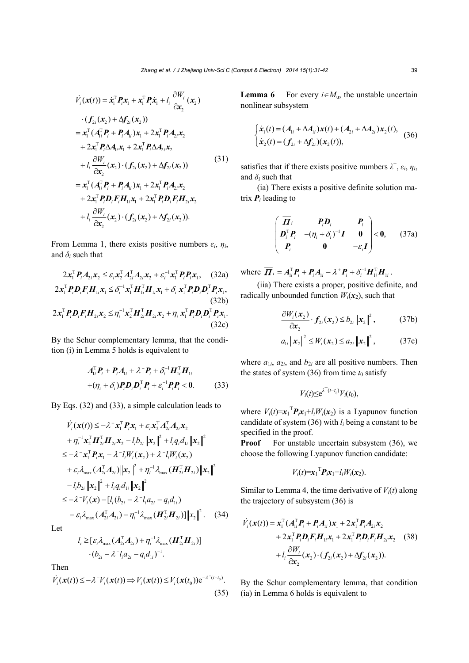$$
\dot{V}_i(\mathbf{x}(t)) = \dot{\mathbf{x}}_1^{\mathrm{T}} \mathbf{P}_i \mathbf{x}_1 + \mathbf{x}_1^{\mathrm{T}} \mathbf{P}_i \dot{\mathbf{x}}_1 + l_i \frac{\partial W_i}{\partial \mathbf{x}_2} (\mathbf{x}_2) \n\cdot (\mathbf{f}_{2i}(\mathbf{x}_2) + \Delta \mathbf{f}_{2i}(\mathbf{x}_2)) \n= \mathbf{x}_1^{\mathrm{T}} (\mathbf{A}_{1i}^{\mathrm{T}} \mathbf{P}_i + \mathbf{P}_i \mathbf{A}_{1i}) \mathbf{x}_1 + 2 \mathbf{x}_1^{\mathrm{T}} \mathbf{P}_i \mathbf{A}_{2i} \mathbf{x}_2 \n+ 2 \mathbf{x}_1^{\mathrm{T}} \mathbf{P}_i \Delta \mathbf{A}_{1i} \mathbf{x}_1 + 2 \mathbf{x}_1^{\mathrm{T}} \mathbf{P}_i \Delta \mathbf{A}_{2i} \mathbf{x}_2 \n+ l_i \frac{\partial W_i}{\partial \mathbf{x}_2} (\mathbf{x}_2) \cdot (\mathbf{f}_{2i}(\mathbf{x}_2) + \Delta \mathbf{f}_{2i}(\mathbf{x}_2)) \n= \mathbf{x}_1^{\mathrm{T}} (\mathbf{A}_{1i}^{\mathrm{T}} \mathbf{P}_i + \mathbf{P}_i \mathbf{A}_{1i}) \mathbf{x}_1 + 2 \mathbf{x}_1^{\mathrm{T}} \mathbf{P}_i \mathbf{A}_{2i} \mathbf{x}_2 \n+ 2 \mathbf{x}_1^{\mathrm{T}} \mathbf{P}_i \mathbf{D}_i \mathbf{F}_i \mathbf{H}_{1i} \mathbf{x}_1 + 2 \mathbf{x}_1^{\mathrm{T}} \mathbf{P}_i \mathbf{D}_i \mathbf{F}_i \mathbf{H}_{2i} \mathbf{x}_2 \n+ l_i \frac{\partial W_i}{\partial \mathbf{x}_2} (\mathbf{x}_2) \cdot (\mathbf{f}_{2i}(\mathbf{x}_2) + \Delta \mathbf{f}_{2i}(\mathbf{x}_2)).
$$
\n(31)

From Lemma 1, there exists positive numbers  $\varepsilon_i$ ,  $\eta_i$ , and  $\delta$ <sup>*i*</sup> such that

$$
2x_1^{\mathrm{T}}P_iA_{2i}x_2 \leq \varepsilon_i x_2^{\mathrm{T}} A_{2i}^{\mathrm{T}} A_{2i}x_2 + \varepsilon_i^{-1} x_1^{\mathrm{T}} P_i P_i x_1, \quad (32a)
$$
  
\n
$$
2x_1^{\mathrm{T}}P_iD_iF_iH_{1i}x_1 \leq \delta_i^{-1} x_1^{\mathrm{T}}H_{1i}^{\mathrm{T}}H_{1i}x_1 + \delta_i x_1^{\mathrm{T}}P_iD_iD_i^{\mathrm{T}}P_i x_1,
$$
  
\n(32b)  
\n
$$
2x_1^{\mathrm{T}}P_iD_iF_iH_{2i}x_2 \leq \eta_i^{-1} x_2^{\mathrm{T}}H_{2i}^{\mathrm{T}}H_{2i}x_2 + \eta_i x_1^{\mathrm{T}}P_iD_iD_i^{\mathrm{T}}P_i x_1.
$$
  
\n(32c)

By the Schur complementary lemma, that the condition (i) in Lemma 5 holds is equivalent to

$$
A_{ii}^{\mathrm{T}}P_i + P_i A_{ii} + \lambda^{\mathrm{T}} P_i + \delta_i^{\mathrm{T}} H_{ii}^{\mathrm{T}} H_{ii}
$$
  
+
$$
(\eta_i + \delta_i) P_i D_i D_i^{\mathrm{T}} P_i + \varepsilon_i^{\mathrm{T}} P_i P_i < 0.
$$
 (33)

By Eqs. (32) and (33), a simple calculation leads to

$$
\vec{V}_i(\mathbf{x}(t)) \le -\lambda^{-1} \mathbf{x}_1^{\mathrm{T}} \mathbf{P}_i \mathbf{x}_1 + \varepsilon_i \mathbf{x}_2^{\mathrm{T}} \mathbf{A}_{2i}^{\mathrm{T}} \mathbf{A}_{2i} \mathbf{x}_2 \n+ \eta_i^{-1} \mathbf{x}_2^{\mathrm{T}} \mathbf{H}_{2i}^{\mathrm{T}} \mathbf{H}_{2i} \mathbf{x}_2 - l_i b_{2i} ||\mathbf{x}_2||^2 + l_i q_i d_{1i} ||\mathbf{x}_2||^2 \n\le -\lambda^{-1} \mathbf{x}_1^{\mathrm{T}} \mathbf{P}_i \mathbf{x}_1 - \lambda^{-1} \mathbf{W}_i(\mathbf{x}_2) + \lambda^{-1} \mathbf{W}_i(\mathbf{x}_2) \n+ \varepsilon_i \lambda_{\max} (\mathbf{A}_{2i}^{\mathrm{T}} \mathbf{A}_{2i}) ||\mathbf{x}_2||^2 + \eta_i^{-1} \lambda_{\max} (\mathbf{H}_{2i}^{\mathrm{T}} \mathbf{H}_{2i}) ||\mathbf{x}_2||^2 \n- l_i b_{2i} ||\mathbf{x}_2||^2 + l_i q_i d_{1i} ||\mathbf{x}_2||^2 \n\le -\lambda^{-1} V_i(\mathbf{x}) - [l_i (b_{2i} - \lambda^{-1} l_i a_{2i} - q_i d_{1i}) \n- \varepsilon_i \lambda_{\max} (\mathbf{A}_{2i}^{\mathrm{T}} \mathbf{A}_{2i}) - \eta_i^{-1} \lambda_{\max} (\mathbf{H}_{2i}^{\mathrm{T}} \mathbf{H}_{2i})] ||\mathbf{x}_2||^2. \tag{34}
$$

Let

$$
l_i \geq [\varepsilon_i \lambda_{\max} (A_{2i}^{\mathrm{T}} A_{2i}) + \eta_i^{-1} \lambda_{\max} (H_{2i}^{\mathrm{T}} H_{2i})]
$$

$$
\cdot (b_{2i} - \lambda^{-1} l_i a_{2i} - q_i d_{1i})^{-1}.
$$

Then

$$
\dot{V}_i(\mathbf{x}(t)) \le -\lambda^{-1} V_i(\mathbf{x}(t)) \Rightarrow V_i(\mathbf{x}(t)) \le V_i(\mathbf{x}(t_0)) e^{-\lambda^{-}(t-t_0)}.
$$
\n(35)

**Lemma 6** For every  $i \in M_u$ , the unstable uncertain nonlinear subsystem

$$
\begin{cases} \dot{x}_1(t) = (A_{1i} + \Delta A_{1i})x(t) + (A_{2i} + \Delta A_{2i})x_2(t), \\ \dot{x}_2(t) = (f_{2i} + \Delta f_{2i})(x_2(t)), \end{cases}
$$
 (36)

satisfies that if there exists positive numbers  $\lambda^+$ ,  $\varepsilon_i$ ,  $\eta_i$ , and  $\delta$ <sup>*i*</sup> such that

(ia) There exists a positive definite solution matrix  $P_i$  leading to

$$
\begin{pmatrix}\n\overline{H}_i & P_i D_i & P_i \\
D_i^T P_i & -(\eta_i + \delta_i)^{-1} I & 0 \\
P_i & 0 & -\varepsilon_i I\n\end{pmatrix} < 0, \qquad (37a)
$$

where  $\overline{\boldsymbol{H}}_i = A_{1i}^{\mathrm{T}} \boldsymbol{P}_i + \boldsymbol{P}_i A_{1i} - \lambda^{\mathrm{T}} \boldsymbol{P}_i + \delta_i^{-1} \boldsymbol{H}_{1i}^{\mathrm{T}} \boldsymbol{H}_{1i}$ .

(iia) There exists a proper, positive definite, and radically unbounded function  $W_i(\mathbf{x}_2)$ , such that

$$
\frac{\partial W_i(\mathbf{x}_2)}{\partial \mathbf{x}_2} \cdot \mathbf{f}_{2i}(\mathbf{x}_2) \le b_{2i} ||\mathbf{x}_2||^2, \tag{37b}
$$

$$
a_{1i} \|x_2\|^2 \le W_i(x_2) \le a_{2i} \|x_2\|^2, \qquad (37c)
$$

where  $a_{1i}$ ,  $a_{2i}$ , and  $b_{2i}$  are all positive numbers. Then the states of system  $(36)$  from time  $t_0$  satisfy

$$
V_i(t) \leq e^{\lambda^+(t-t_0)} V_i(t_0),
$$

where  $V_i(t) = x_1^\text{T} P_i x_1 + l_i W_i(x_2)$  is a Lyapunov function candidate of system (36) with *li* being a constant to be specified in the proof.

**Proof** For unstable uncertain subsystem (36), we choose the following Lyapunov function candidate:

$$
V_i(t)=\mathbf{x}_1^{\mathrm{T}}\mathbf{P}_i\mathbf{x}_1+l_iW_i(\mathbf{x}_2).
$$

Similar to Lemma 4, the time derivative of  $V_i(t)$  along the trajectory of subsystem (36) is

$$
\dot{V}_i(\mathbf{x}(t)) = \mathbf{x}_1^{\mathrm{T}} (A_{1i}^{\mathrm{T}} \mathbf{P}_i + \mathbf{P}_i A_{1i}) \mathbf{x}_1 + 2 \mathbf{x}_1^{\mathrm{T}} \mathbf{P}_i A_{2i} \mathbf{x}_2 \n+ 2 \mathbf{x}_1^{\mathrm{T}} \mathbf{P}_i \mathbf{D}_i \mathbf{F}_i \mathbf{H}_{1i} \mathbf{x}_1 + 2 \mathbf{x}_1^{\mathrm{T}} \mathbf{P}_i \mathbf{D}_i \mathbf{F}_i \mathbf{H}_{2i} \mathbf{x}_2
$$
\n(38)  
\n
$$
+ l_i \frac{\partial W_i}{\partial \mathbf{x}_2} (\mathbf{x}_2) \cdot (\mathbf{f}_{2i} (\mathbf{x}_2) + \Delta \mathbf{f}_{2i} (\mathbf{x}_2)).
$$

By the Schur complementary lemma, that condition (ia) in Lemma 6 holds is equivalent to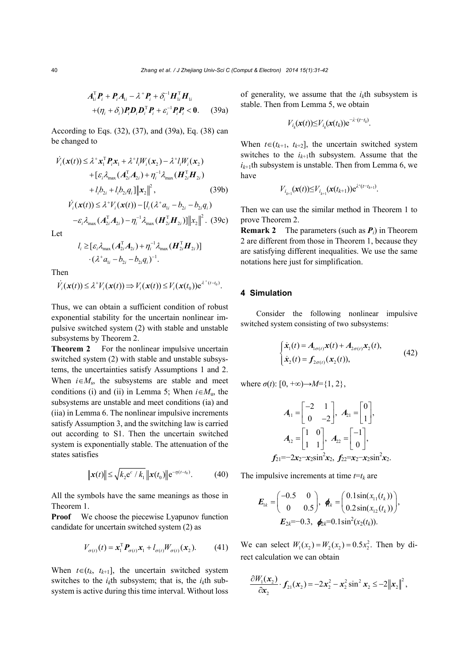$$
A_{1i}^{\mathrm{T}}P_i + P_i A_{1i} - \lambda^+ P_i + \delta_i^{-1} H_{1i}^{\mathrm{T}} H_{1i}
$$
  
+
$$
(\eta_i + \delta_i) P_i D_i D_i^{\mathrm{T}} P_i + \varepsilon_i^{-1} P_i P_i < 0. \qquad (39a)
$$

According to Eqs. (32), (37), and (39a), Eq. (38) can be changed to

$$
\dot{V}_i(\boldsymbol{x}(t)) \leq \lambda^+ \boldsymbol{x}_1^{\mathrm{T}} \boldsymbol{P}_i \boldsymbol{x}_1 + \lambda^+ l_i W_i(\boldsymbol{x}_2) - \lambda^+ l_i W_i(\boldsymbol{x}_2)
$$
\n
$$
+ [\varepsilon_i \lambda_{\max} (\boldsymbol{A}_{2i}^{\mathrm{T}} \boldsymbol{A}_{2i}) + \eta_i^{-1} \lambda_{\max} (\boldsymbol{H}_{2i}^{\mathrm{T}} \boldsymbol{H}_{2i})
$$
\n
$$
+ l_i b_{2i} + l_i b_{2i} q_i] \| \boldsymbol{x}_2 \|^2, \qquad (39b)
$$

$$
\dot{V}_i(\mathbf{x}(t)) \le \lambda^+ V_i(\mathbf{x}(t)) - [l_i(\lambda^+ a_{1i} - b_{2i} - b_{2i} q_i) -\varepsilon_i \lambda_{\text{max}} (\mathbf{A}_{2i}^{\text{T}} \mathbf{A}_{2i}) - \eta_i^{-1} \lambda_{\text{max}} (\mathbf{H}_{2i}^{\text{T}} \mathbf{H}_{2i}) ] ||x_2||^2. (39c)
$$

Let

$$
l_i \geq [\varepsilon_i \lambda_{\max}(\boldsymbol{A}_{2i}^{\mathrm{T}}\boldsymbol{A}_{2i}) + \eta_i^{-1}\lambda_{\max}(\boldsymbol{H}_{2i}^{\mathrm{T}}\boldsymbol{H}_{2i})] \cdot (\lambda^{\mathrm{T}}\boldsymbol{a}_{1i} - \boldsymbol{b}_{2i} - \boldsymbol{b}_{2i}\boldsymbol{q}_i)^{-1}.
$$

Then

$$
V_i(\mathbf{x}(t)) \leq \lambda^+ V_i(\mathbf{x}(t)) \Rightarrow V_i(\mathbf{x}(t)) \leq V_i(\mathbf{x}(t_0)) e^{\lambda^+(t-t_0)}.
$$

Thus, we can obtain a sufficient condition of robust exponential stability for the uncertain nonlinear impulsive switched system (2) with stable and unstable subsystems by Theorem 2.

**Theorem 2** For the nonlinear impulsive uncertain switched system (2) with stable and unstable subsystems, the uncertainties satisfy Assumptions 1 and 2. When  $i \in M_s$ , the subsystems are stable and meet conditions (i) and (ii) in Lemma 5; When  $i \in M_u$ , the subsystems are unstable and meet conditions (ia) and (iia) in Lemma 6. The nonlinear impulsive increments satisfy Assumption 3, and the switching law is carried out according to S1. Then the uncertain switched system is exponentially stable. The attenuation of the states satisfies

$$
\|\mathbf{x}(t)\| \le \sqrt{k_2 e^{c} / k_1} \|\mathbf{x}(t_0)\| e^{-\eta(t - t_0)}.
$$
 (40)

All the symbols have the same meanings as those in Theorem 1.

**Proof** We choose the piecewise Lyapunov function candidate for uncertain switched system (2) as

$$
V_{\sigma(t)}(t) = \mathbf{x}_1^{\mathrm{T}} \mathbf{P}_{\sigma(t)} \mathbf{x}_1 + l_{\sigma(t)} W_{\sigma(t)}(\mathbf{x}_2).
$$
 (41)

When  $t \in (t_k, t_{k+1}]$ , the uncertain switched system switches to the  $i_k$ <sup>th</sup> subsystem; that is, the  $i_k$ <sup>th</sup> subsystem is active during this time interval. Without loss

of generality, we assume that the  $i_k$ <sup>th</sup> subsystem is stable. Then from Lemma 5, we obtain

$$
V_{i_k}(\mathbf{x}(t)) \leq V_{i_k}(\mathbf{x}(t_k)) \mathrm{e}^{-\lambda^{-}(t-t_k)}
$$

.

When  $t \in (t_{k+1}, t_{k+2}]$ , the uncertain switched system switches to the  $i_{k+1}$ th subsystem. Assume that the  $i_{k+1}$ th subsystem is unstable. Then from Lemma 6, we have

$$
V_{i_{k+1}}(\mathbf{x}(t)) \leq V_{i_{k+1}}(\mathbf{x}(t_{k+1})) e^{\lambda^{+}(t-t_{k+1})}.
$$

Then we can use the similar method in Theorem 1 to prove Theorem 2.

**Remark 2** The parameters (such as *Pi*) in Theorem 2 are different from those in Theorem 1, because they are satisfying different inequalities. We use the same notations here just for simplification.

## **4 Simulation**

Consider the following nonlinear impulsive switched system consisting of two subsystems:

$$
\begin{cases} \dot{x}_1(t) = A_{1\sigma(t)}x(t) + A_{2\sigma(t)}x_2(t), \\ \dot{x}_2(t) = f_{2\sigma(t)}(x_2(t)), \end{cases}
$$
(42)

where  $\sigma(t)$ :  $[0, +\infty) \rightarrow M = \{1, 2\}$ ,

$$
A_{11} = \begin{bmatrix} -2 & 1 \\ 0 & -2 \end{bmatrix}, A_{21} = \begin{bmatrix} 0 \\ 1 \end{bmatrix},
$$
  

$$
A_{12} = \begin{bmatrix} 1 & 0 \\ 1 & 1 \end{bmatrix}, A_{22} = \begin{bmatrix} -1 \\ 0 \end{bmatrix},
$$
  

$$
f_{21} = -2x_2 - x_2 \sin^2 x_2, f_{22} = x_2 - x_2 \sin^2 x_2.
$$

The impulsive increments at time  $t=t_k$  are

$$
\boldsymbol{E}_{1k} = \begin{pmatrix} -0.5 & 0 \\ 0 & 0.5 \end{pmatrix}, \boldsymbol{\phi}_k = \begin{pmatrix} 0.1\sin(x_{11}(t_k)) \\ 0.2\sin(x_{12}(t_k)) \end{pmatrix},
$$

$$
\boldsymbol{E}_{2k} = -0.3, \boldsymbol{\phi}_k = 0.1\sin^2(x_2(t_k)).
$$

We can select  $W_1(x_2) = W_2(x_2) = 0.5x_2^2$ . Then by direct calculation we can obtain

$$
\frac{\partial W_1(\mathbf{x}_2)}{\partial \mathbf{x}_2} \cdot f_{21}(\mathbf{x}_2) = -2\mathbf{x}_2^2 - \mathbf{x}_2^2 \sin^2 \mathbf{x}_2 \le -2\|\mathbf{x}_2\|^2,
$$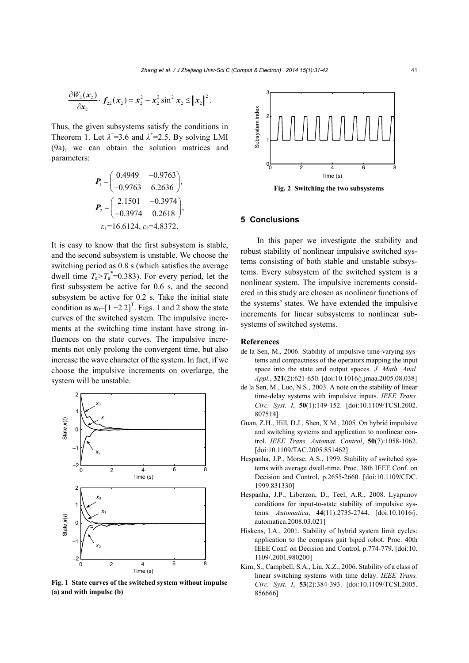$$
\frac{\partial W_2(\mathbf{x}_2)}{\partial \mathbf{x}_2} \cdot \mathbf{f}_{22}(\mathbf{x}_2) = \mathbf{x}_2^2 - \mathbf{x}_2^2 \sin^2 \mathbf{x}_2 \le ||\mathbf{x}_2||^2.
$$

Thus, the given subsystems satisfy the conditions in Theorem 1. Let  $\lambda$ <sup>-</sup>=3.6 and  $\lambda$ <sup>+</sup>=2.5. By solving LMI (9a), we can obtain the solution matrices and parameters:

$$
\mathbf{P}_{1} = \begin{pmatrix} 0.4949 & -0.9763 \\ -0.9763 & 6.2636 \end{pmatrix},
$$

$$
\mathbf{P}_{2} = \begin{pmatrix} 2.1501 & -0.3974 \\ -0.3974 & 0.2618 \end{pmatrix},
$$

$$
\varepsilon_{1} = 16.6124, \varepsilon_{2} = 4.8372.
$$

It is easy to know that the first subsystem is stable, and the second subsystem is unstable. We choose the switching period as 0.8 s (which satisfies the average dwell time  $T_a > T_a^* = 0.383$ ). For every period, let the first subsystem be active for 0.6 s, and the second subsystem be active for 0.2 s. Take the initial state condition as  $x_0 = [1 - 2 2]^T$ . Figs. 1 and 2 show the state curves of the switched system. The impulsive increments at the switching time instant have strong influences on the state curves. The impulsive increments not only prolong the convergent time, but also increase the wave character of the system. In fact, if we choose the impulsive increments on overlarge, the system will be unstable.



**Fig. 1 State curves of the switched system without impulse (a) and with impulse (b)**



**Fig. 2 Switching the two subsystems** 

## **5 Conclusions**

In this paper we investigate the stability and robust stability of nonlinear impulsive switched systems consisting of both stable and unstable subsystems. Every subsystem of the switched system is a nonlinear system. The impulsive increments considered in this study are chosen as nonlinear functions of the systems' states. We have extended the impulsive increments for linear subsystems to nonlinear subsystems of switched systems.

#### **References**

- de la Sen, M., 2006. Stability of impulsive time-varying systems and compactness of the operators mapping the input space into the state and output spaces. *J. Math. Anal. Appl.*, **321**(2):621-650. [doi:10.1016/j.jmaa.2005.08.038]
- de la Sen, M., Luo, N.S., 2003. A note on the stability of linear time-delay systems with impulsive inputs. *IEEE Trans. Circ. Syst. I*, **50**(1):149-152. [doi:10.1109/TCSI.2002. 807514]
- Guan, Z.H., Hill, D.J., Shen, X.M., 2005. On hybrid impulsive and switching systems and application to nonlinear control. *IEEE Trans. Automat. Control*, **50**(7):1058-1062. [doi:10.1109/TAC.2005.851462]
- Hespanha, J.P., Morse, A.S., 1999. Stability of switched systems with average dwell-time. Proc. 38th IEEE Conf. on Decision and Control, p.2655-2660. [doi:10.1109/CDC. 1999.831330]
- Hespanha, J.P., Liberzon, D., Teel, A.R., 2008. Lyapunov conditions for input-to-state stability of impulsive systems. *Automatica*, **44**(11):2735-2744. [doi:10.1016/j. automatica.2008.03.021]
- Hiskens, I.A., 2001. Stability of hybrid system limit cycles: application to the compass gait biped robot. Proc. 40th IEEE Conf. on Decision and Control, p.774-779. [doi:10. 1109/.2001.980200]
- Kim, S., Campbell, S.A., Liu, X.Z., 2006. Stability of a class of linear switching systems with time delay. *IEEE Trans. Circ. Syst. I*, **53**(2):384-393. [doi:10.1109/TCSI.2005. 856666]